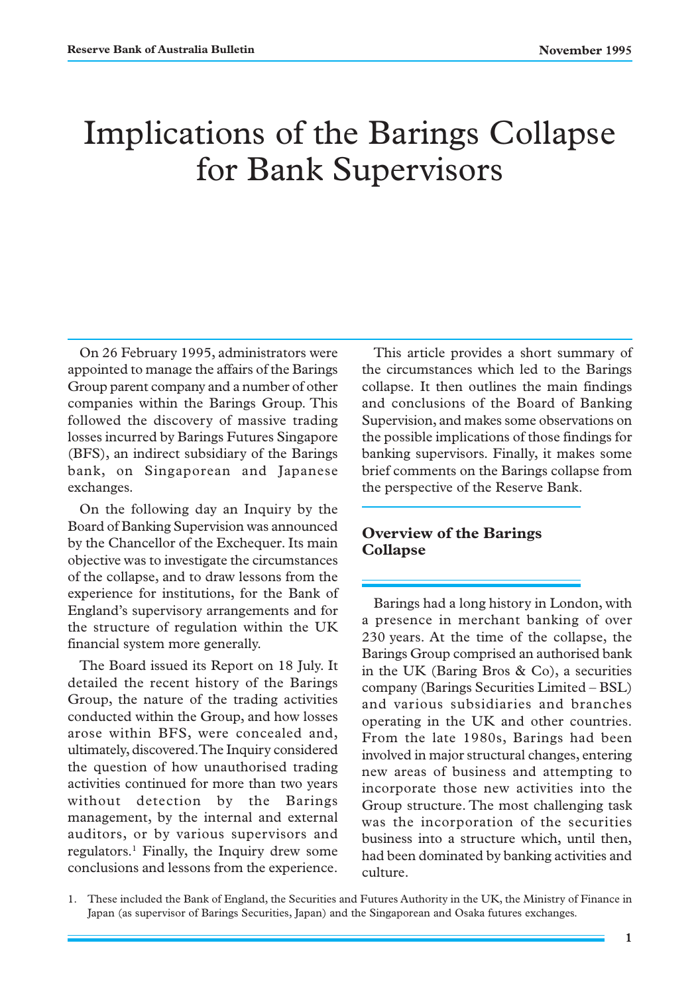# Implications of the Barings Collapse for Bank Supervisors

On 26 February 1995, administrators were appointed to manage the affairs of the Barings Group parent company and a number of other companies within the Barings Group. This followed the discovery of massive trading losses incurred by Barings Futures Singapore (BFS), an indirect subsidiary of the Barings bank, on Singaporean and Japanese exchanges.

On the following day an Inquiry by the Board of Banking Supervision was announced by the Chancellor of the Exchequer. Its main objective was to investigate the circumstances of the collapse, and to draw lessons from the experience for institutions, for the Bank of England's supervisory arrangements and for the structure of regulation within the UK financial system more generally.

The Board issued its Report on 18 July. It detailed the recent history of the Barings Group, the nature of the trading activities conducted within the Group, and how losses arose within BFS, were concealed and, ultimately, discovered. The Inquiry considered the question of how unauthorised trading activities continued for more than two years without detection by the Barings management, by the internal and external auditors, or by various supervisors and regulators.<sup>1</sup> Finally, the Inquiry drew some conclusions and lessons from the experience.

This article provides a short summary of the circumstances which led to the Barings collapse. It then outlines the main findings and conclusions of the Board of Banking Supervision, and makes some observations on the possible implications of those findings for banking supervisors. Finally, it makes some brief comments on the Barings collapse from the perspective of the Reserve Bank.

#### **Overview of the Barings Collapse**

Barings had a long history in London, with a presence in merchant banking of over 230 years. At the time of the collapse, the Barings Group comprised an authorised bank in the UK (Baring Bros & Co), a securities company (Barings Securities Limited – BSL) and various subsidiaries and branches operating in the UK and other countries. From the late 1980s, Barings had been involved in major structural changes, entering new areas of business and attempting to incorporate those new activities into the Group structure. The most challenging task was the incorporation of the securities business into a structure which, until then, had been dominated by banking activities and culture.

<sup>1.</sup> These included the Bank of England, the Securities and Futures Authority in the UK, the Ministry of Finance in Japan (as supervisor of Barings Securities, Japan) and the Singaporean and Osaka futures exchanges.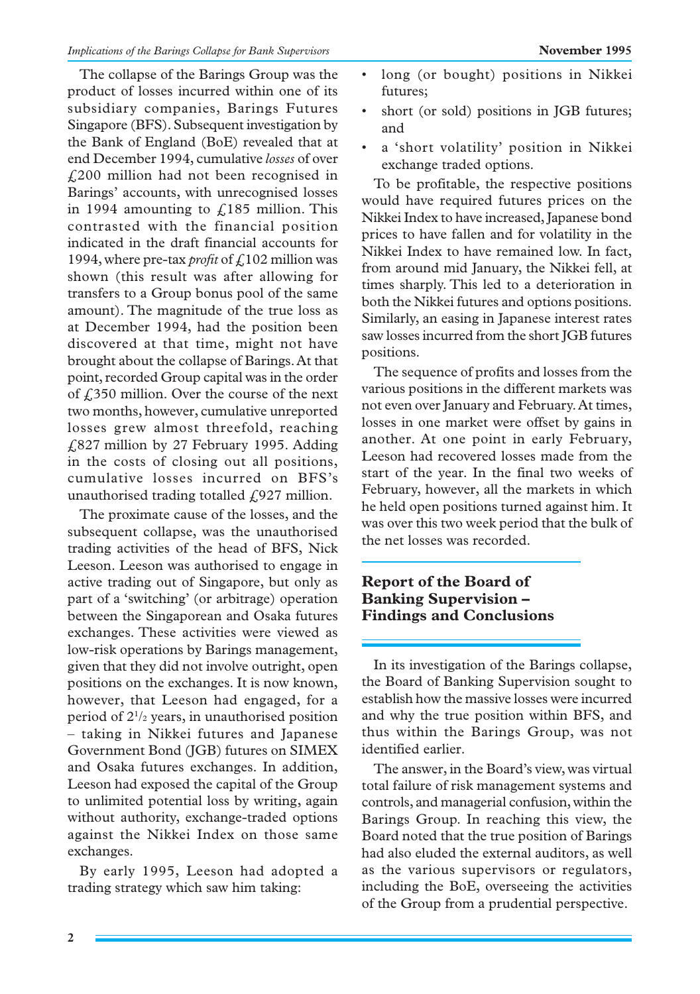The collapse of the Barings Group was the product of losses incurred within one of its subsidiary companies, Barings Futures Singapore (BFS). Subsequent investigation by the Bank of England (BoE) revealed that at end December 1994, cumulative *losses* of over £200 million had not been recognised in Barings' accounts, with unrecognised losses in 1994 amounting to  $f<sub>185</sub>$  million. This contrasted with the financial position indicated in the draft financial accounts for 1994, where pre-tax *profit* of £102 million was shown (this result was after allowing for transfers to a Group bonus pool of the same amount). The magnitude of the true loss as at December 1994, had the position been discovered at that time, might not have brought about the collapse of Barings. At that point, recorded Group capital was in the order of £350 million. Over the course of the next two months, however, cumulative unreported losses grew almost threefold, reaching £827 million by 27 February 1995. Adding in the costs of closing out all positions, cumulative losses incurred on BFS's unauthorised trading totalled  $f(927)$  million.

The proximate cause of the losses, and the subsequent collapse, was the unauthorised trading activities of the head of BFS, Nick Leeson. Leeson was authorised to engage in active trading out of Singapore, but only as part of a 'switching' (or arbitrage) operation between the Singaporean and Osaka futures exchanges. These activities were viewed as low-risk operations by Barings management, given that they did not involve outright, open positions on the exchanges. It is now known, however, that Leeson had engaged, for a period of 21 /2 years, in unauthorised position – taking in Nikkei futures and Japanese Government Bond (JGB) futures on SIMEX and Osaka futures exchanges. In addition, Leeson had exposed the capital of the Group to unlimited potential loss by writing, again without authority, exchange-traded options against the Nikkei Index on those same exchanges.

By early 1995, Leeson had adopted a trading strategy which saw him taking:

- long (or bought) positions in Nikkei futures;
- short (or sold) positions in JGB futures; and
- a 'short volatility' position in Nikkei exchange traded options.

To be profitable, the respective positions would have required futures prices on the Nikkei Index to have increased, Japanese bond prices to have fallen and for volatility in the Nikkei Index to have remained low. In fact, from around mid January, the Nikkei fell, at times sharply. This led to a deterioration in both the Nikkei futures and options positions. Similarly, an easing in Japanese interest rates saw losses incurred from the short JGB futures positions.

The sequence of profits and losses from the various positions in the different markets was not even over January and February. At times, losses in one market were offset by gains in another. At one point in early February, Leeson had recovered losses made from the start of the year. In the final two weeks of February, however, all the markets in which he held open positions turned against him. It was over this two week period that the bulk of the net losses was recorded.

#### **Report of the Board of Banking Supervision – Findings and Conclusions**

In its investigation of the Barings collapse, the Board of Banking Supervision sought to establish how the massive losses were incurred and why the true position within BFS, and thus within the Barings Group, was not identified earlier.

The answer, in the Board's view, was virtual total failure of risk management systems and controls, and managerial confusion, within the Barings Group. In reaching this view, the Board noted that the true position of Barings had also eluded the external auditors, as well as the various supervisors or regulators, including the BoE, overseeing the activities of the Group from a prudential perspective.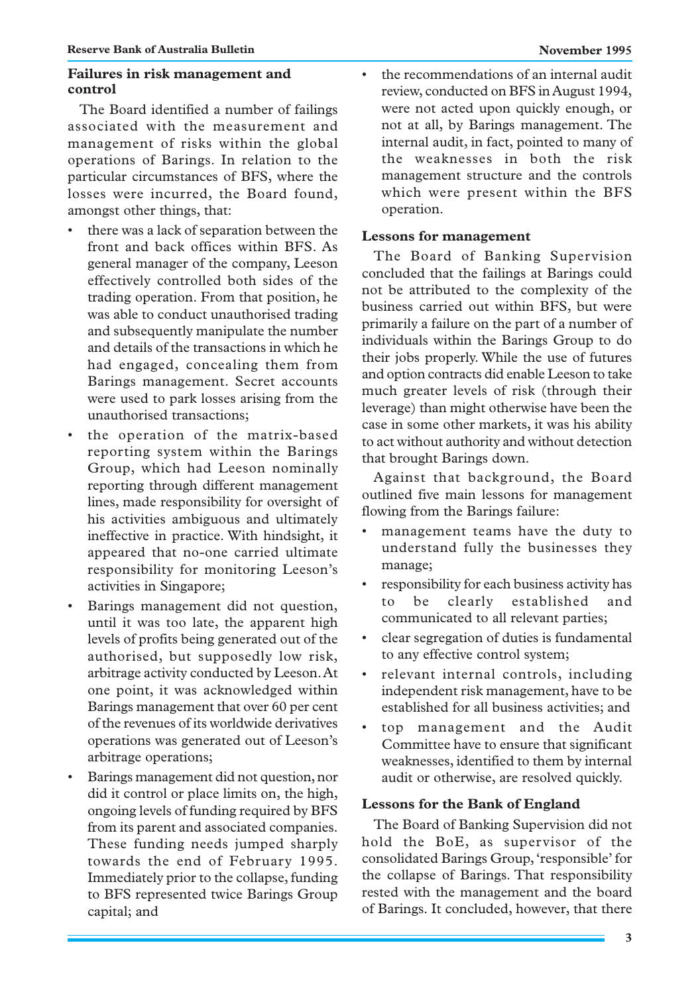#### **Failures in risk management and control**

The Board identified a number of failings associated with the measurement and management of risks within the global operations of Barings. In relation to the particular circumstances of BFS, where the losses were incurred, the Board found, amongst other things, that:

- there was a lack of separation between the front and back offices within BFS. As general manager of the company, Leeson effectively controlled both sides of the trading operation. From that position, he was able to conduct unauthorised trading and subsequently manipulate the number and details of the transactions in which he had engaged, concealing them from Barings management. Secret accounts were used to park losses arising from the unauthorised transactions;
- the operation of the matrix-based reporting system within the Barings Group, which had Leeson nominally reporting through different management lines, made responsibility for oversight of his activities ambiguous and ultimately ineffective in practice. With hindsight, it appeared that no-one carried ultimate responsibility for monitoring Leeson's activities in Singapore;
- Barings management did not question, until it was too late, the apparent high levels of profits being generated out of the authorised, but supposedly low risk, arbitrage activity conducted by Leeson. At one point, it was acknowledged within Barings management that over 60 per cent of the revenues of its worldwide derivatives operations was generated out of Leeson's arbitrage operations;
- Barings management did not question, nor did it control or place limits on, the high, ongoing levels of funding required by BFS from its parent and associated companies. These funding needs jumped sharply towards the end of February 1995. Immediately prior to the collapse, funding to BFS represented twice Barings Group capital; and

• the recommendations of an internal audit review, conducted on BFS in August 1994, were not acted upon quickly enough, or not at all, by Barings management. The internal audit, in fact, pointed to many of the weaknesses in both the risk management structure and the controls which were present within the BFS operation.

#### **Lessons for management**

The Board of Banking Supervision concluded that the failings at Barings could not be attributed to the complexity of the business carried out within BFS, but were primarily a failure on the part of a number of individuals within the Barings Group to do their jobs properly. While the use of futures and option contracts did enable Leeson to take much greater levels of risk (through their leverage) than might otherwise have been the case in some other markets, it was his ability to act without authority and without detection that brought Barings down.

Against that background, the Board outlined five main lessons for management flowing from the Barings failure:

- management teams have the duty to understand fully the businesses they manage;
- responsibility for each business activity has to be clearly established and communicated to all relevant parties;
- clear segregation of duties is fundamental to any effective control system;
- relevant internal controls, including independent risk management, have to be established for all business activities; and
- top management and the Audit Committee have to ensure that significant weaknesses, identified to them by internal audit or otherwise, are resolved quickly.

### **Lessons for the Bank of England**

The Board of Banking Supervision did not hold the BoE, as supervisor of the consolidated Barings Group, 'responsible' for the collapse of Barings. That responsibility rested with the management and the board of Barings. It concluded, however, that there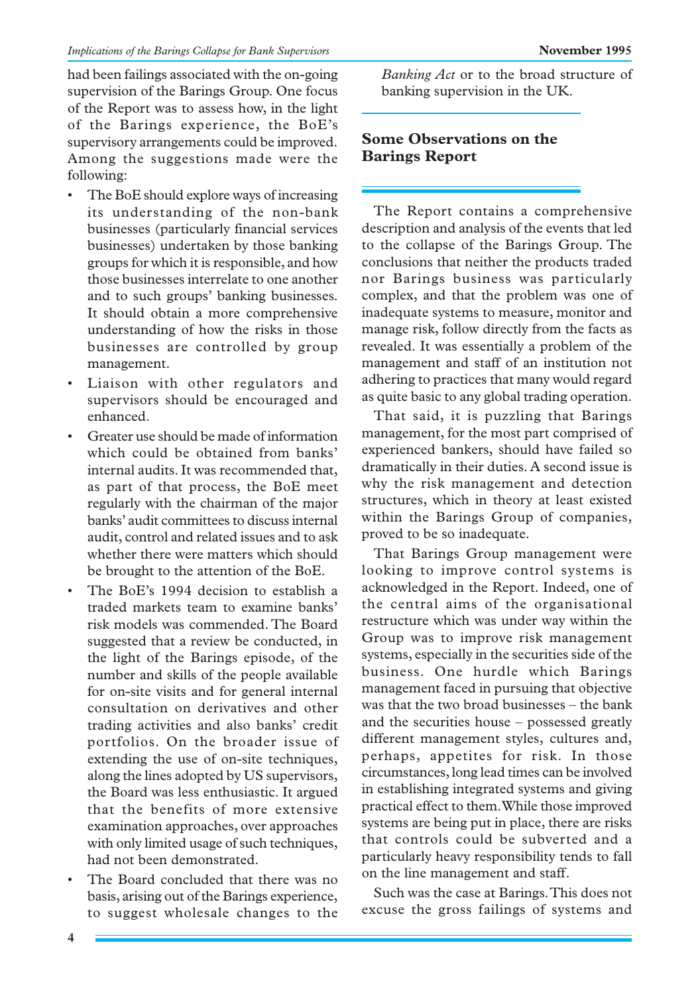had been failings associated with the on-going supervision of the Barings Group. One focus of the Report was to assess how, in the light of the Barings experience, the BoE's supervisory arrangements could be improved. Among the suggestions made were the following:

- The BoE should explore ways of increasing its understanding of the non-bank businesses (particularly financial services businesses) undertaken by those banking groups for which it is responsible, and how those businesses interrelate to one another and to such groups' banking businesses. It should obtain a more comprehensive understanding of how the risks in those businesses are controlled by group management.
- Liaison with other regulators and supervisors should be encouraged and enhanced.
- Greater use should be made of information which could be obtained from banks' internal audits. It was recommended that, as part of that process, the BoE meet regularly with the chairman of the major banks' audit committees to discuss internal audit, control and related issues and to ask whether there were matters which should be brought to the attention of the BoE.
- The BoE's 1994 decision to establish a traded markets team to examine banks' risk models was commended. The Board suggested that a review be conducted, in the light of the Barings episode, of the number and skills of the people available for on-site visits and for general internal consultation on derivatives and other trading activities and also banks' credit portfolios. On the broader issue of extending the use of on-site techniques, along the lines adopted by US supervisors, the Board was less enthusiastic. It argued that the benefits of more extensive examination approaches, over approaches with only limited usage of such techniques, had not been demonstrated.
- The Board concluded that there was no basis, arising out of the Barings experience, to suggest wholesale changes to the

*Banking Act* or to the broad structure of banking supervision in the UK.

## **Some Observations on the Barings Report**

The Report contains a comprehensive description and analysis of the events that led to the collapse of the Barings Group. The conclusions that neither the products traded nor Barings business was particularly complex, and that the problem was one of inadequate systems to measure, monitor and manage risk, follow directly from the facts as revealed. It was essentially a problem of the management and staff of an institution not adhering to practices that many would regard as quite basic to any global trading operation.

That said, it is puzzling that Barings management, for the most part comprised of experienced bankers, should have failed so dramatically in their duties. A second issue is why the risk management and detection structures, which in theory at least existed within the Barings Group of companies, proved to be so inadequate.

That Barings Group management were looking to improve control systems is acknowledged in the Report. Indeed, one of the central aims of the organisational restructure which was under way within the Group was to improve risk management systems, especially in the securities side of the business. One hurdle which Barings management faced in pursuing that objective was that the two broad businesses – the bank and the securities house – possessed greatly different management styles, cultures and, perhaps, appetites for risk. In those circumstances, long lead times can be involved in establishing integrated systems and giving practical effect to them. While those improved systems are being put in place, there are risks that controls could be subverted and a particularly heavy responsibility tends to fall on the line management and staff.

Such was the case at Barings. This does not excuse the gross failings of systems and